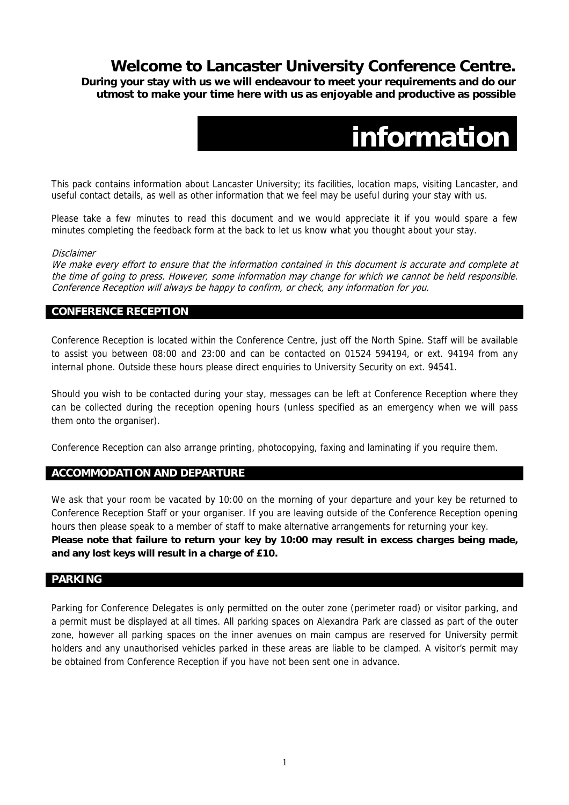## **Welcome to Lancaster University Conference Centre.**

**During your stay with us we will endeavour to meet your requirements and do our utmost to make your time here with us as enjoyable and productive as possible** 

# **information**

This pack contains information about Lancaster University; its facilities, location maps, visiting Lancaster, and useful contact details, as well as other information that we feel may be useful during your stay with us.

Please take a few minutes to read this document and we would appreciate it if you would spare a few minutes completing the feedback form at the back to let us know what you thought about your stay.

#### Disclaimer

We make every effort to ensure that the information contained in this document is accurate and complete at the time of going to press. However, some information may change for which we cannot be held responsible. Conference Reception will always be happy to confirm, or check, any information for you.

### **CONFERENCE RECEPTION**

Conference Reception is located within the Conference Centre, just off the North Spine. Staff will be available to assist you between 08:00 and 23:00 and can be contacted on 01524 594194, or ext. 94194 from any internal phone. Outside these hours please direct enquiries to University Security on ext. 94541.

Should you wish to be contacted during your stay, messages can be left at Conference Reception where they can be collected during the reception opening hours (unless specified as an emergency when we will pass them onto the organiser).

Conference Reception can also arrange printing, photocopying, faxing and laminating if you require them.

#### **ACCOMMODATION AND DEPARTURE**

We ask that your room be vacated by 10:00 on the morning of your departure and your key be returned to Conference Reception Staff or your organiser. If you are leaving outside of the Conference Reception opening hours then please speak to a member of staff to make alternative arrangements for returning your key. **Please note that failure to return your key by 10:00 may result in excess charges being made, and any lost keys will result in a charge of £10.** 

### **PARKING**

Parking for Conference Delegates is only permitted on the outer zone (perimeter road) or visitor parking, and a permit must be displayed at all times. All parking spaces on Alexandra Park are classed as part of the outer zone, however all parking spaces on the inner avenues on main campus are reserved for University permit holders and any unauthorised vehicles parked in these areas are liable to be clamped. A visitor's permit may be obtained from Conference Reception if you have not been sent one in advance.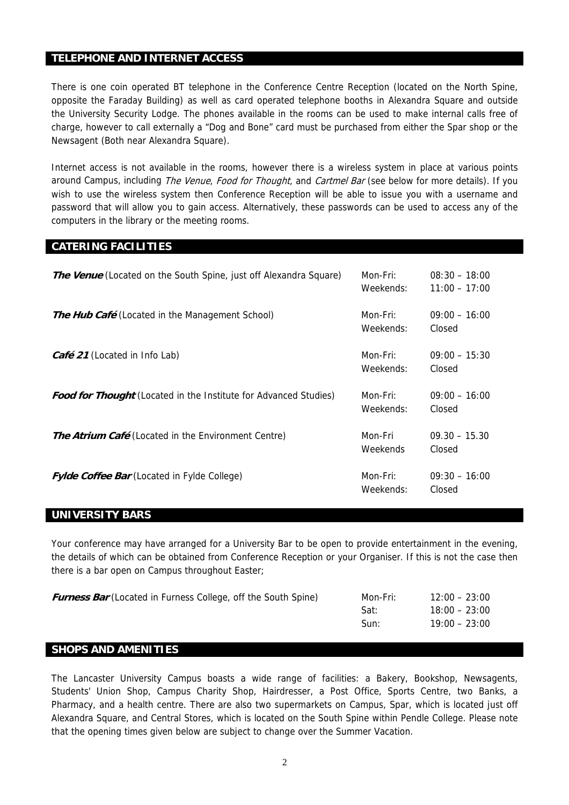#### **TELEPHONE AND INTERNET ACCESS**

There is one coin operated BT telephone in the Conference Centre Reception (located on the North Spine, opposite the Faraday Building) as well as card operated telephone booths in Alexandra Square and outside the University Security Lodge. The phones available in the rooms can be used to make internal calls free of charge, however to call externally a "Dog and Bone" card must be purchased from either the Spar shop or the Newsagent (Both near Alexandra Square).

Internet access is not available in the rooms, however there is a wireless system in place at various points around Campus, including The Venue, Food for Thought, and Cartmel Bar (see below for more details). If you wish to use the wireless system then Conference Reception will be able to issue you with a username and password that will allow you to gain access. Alternatively, these passwords can be used to access any of the computers in the library or the meeting rooms.

#### **CATERING FACILITIES**

| <b>The Venue</b> (Located on the South Spine, just off Alexandra Square) | Mon-Fri:<br>Weekends: | $08:30 - 18:00$<br>$11:00 - 17:00$ |
|--------------------------------------------------------------------------|-----------------------|------------------------------------|
| <b>The Hub Café</b> (Located in the Management School)                   | Mon-Fri:<br>Weekends: | $09:00 - 16:00$<br>Closed          |
| <b>Café 21</b> (Located in Info Lab)                                     | Mon-Fri:<br>Weekends: | $09:00 - 15:30$<br>Closed          |
| <b>Food for Thought</b> (Located in the Institute for Advanced Studies)  | Mon-Fri:<br>Weekends: | $09:00 - 16:00$<br>Closed          |
| <b>The Atrium Café</b> (Located in the Environment Centre)               | Mon-Fri<br>Weekends   | $09.30 - 15.30$<br>Closed          |
| <b>Fylde Coffee Bar</b> (Located in Fylde College)                       | Mon-Fri:<br>Weekends: | $09:30 - 16:00$<br>Closed          |

#### **UNIVERSITY BARS**

Your conference may have arranged for a University Bar to be open to provide entertainment in the evening, the details of which can be obtained from Conference Reception or your Organiser. If this is not the case then there is a bar open on Campus throughout Easter;

| <b>Furness Bar</b> (Located in Furness College, off the South Spine) | Mon-Fri: | $12:00 - 23:00$ |
|----------------------------------------------------------------------|----------|-----------------|
|                                                                      | Sat:     | $18:00 - 23:00$ |
|                                                                      | Sun:     | $19:00 - 23:00$ |
|                                                                      |          |                 |

### **SHOPS AND AMENITIES**

The Lancaster University Campus boasts a wide range of facilities: a Bakery, Bookshop, Newsagents, Students' Union Shop, Campus Charity Shop, Hairdresser, a Post Office, Sports Centre, two Banks, a Pharmacy, and a health centre. There are also two supermarkets on Campus, Spar, which is located just off Alexandra Square, and Central Stores, which is located on the South Spine within Pendle College. Please note that the opening times given below are subject to change over the Summer Vacation.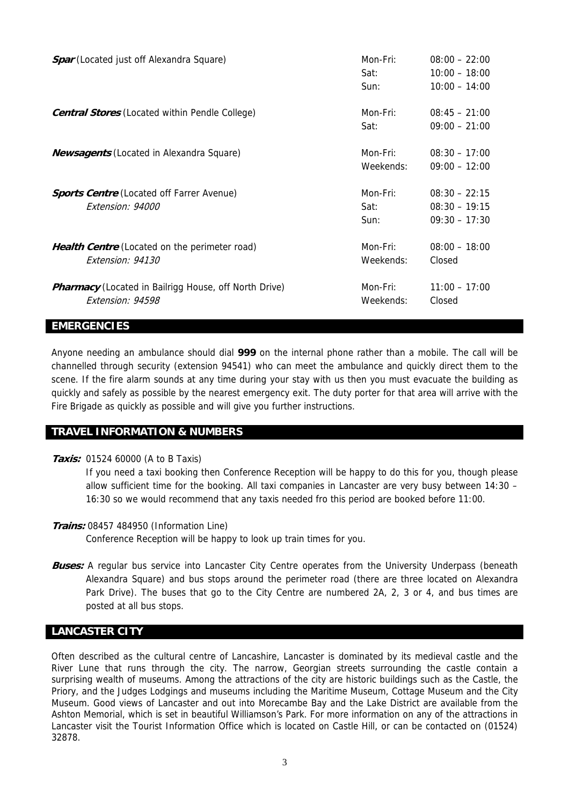| <b>Spar</b> (Located just off Alexandra Square)                                  | Mon-Fri:<br>Sat:<br>Sun: | $08:00 - 22:00$<br>$10:00 - 18:00$<br>$10:00 - 14:00$ |
|----------------------------------------------------------------------------------|--------------------------|-------------------------------------------------------|
| <b>Central Stores</b> (Located within Pendle College)                            | Mon-Fri:<br>Sat:         | $08:45 - 21:00$<br>$09:00 - 21:00$                    |
| <b>Newsagents</b> (Located in Alexandra Square)                                  | Mon-Fri:<br>Weekends:    | $08:30 - 17:00$<br>$09:00 - 12:00$                    |
| <b>Sports Centre</b> (Located off Farrer Avenue)<br>Extension: 94000             | Mon-Fri:<br>Sat:<br>Sun: | $08:30 - 22:15$<br>$08:30 - 19:15$<br>$09:30 - 17:30$ |
| <b>Health Centre</b> (Located on the perimeter road)<br>Extension: 94130         | Mon-Fri:<br>Weekends:    | $08:00 - 18:00$<br>Closed                             |
| <b>Pharmacy</b> (Located in Bailrigg House, off North Drive)<br>Extension: 94598 | Mon-Fri:<br>Weekends:    | $11:00 - 17:00$<br>Closed                             |

#### **EMERGENCIES**

Anyone needing an ambulance should dial **999** on the internal phone rather than a mobile. The call will be channelled through security (extension 94541) who can meet the ambulance and quickly direct them to the scene. If the fire alarm sounds at any time during your stay with us then you must evacuate the building as quickly and safely as possible by the nearest emergency exit. The duty porter for that area will arrive with the Fire Brigade as quickly as possible and will give you further instructions.

#### **TRAVEL INFORMATION & NUMBERS**

**Taxis:** 01524 60000 (A to B Taxis)

If you need a taxi booking then Conference Reception will be happy to do this for you, though please allow sufficient time for the booking. All taxi companies in Lancaster are very busy between 14:30 – 16:30 so we would recommend that any taxis needed fro this period are booked before 11:00.

- **Trains:** 08457 484950 (Information Line) Conference Reception will be happy to look up train times for you.
- **Buses:** A regular bus service into Lancaster City Centre operates from the University Underpass (beneath Alexandra Square) and bus stops around the perimeter road (there are three located on Alexandra Park Drive). The buses that go to the City Centre are numbered 2A, 2, 3 or 4, and bus times are posted at all bus stops.

#### **LANCASTER CITY**

Often described as the cultural centre of Lancashire, Lancaster is dominated by its medieval castle and the River Lune that runs through the city. The narrow, Georgian streets surrounding the castle contain a surprising wealth of museums. Among the attractions of the city are historic buildings such as the Castle, the Priory, and the Judges Lodgings and museums including the Maritime Museum, Cottage Museum and the City Museum. Good views of Lancaster and out into Morecambe Bay and the Lake District are available from the Ashton Memorial, which is set in beautiful Williamson's Park. For more information on any of the attractions in Lancaster visit the Tourist Information Office which is located on Castle Hill, or can be contacted on (01524) 32878.